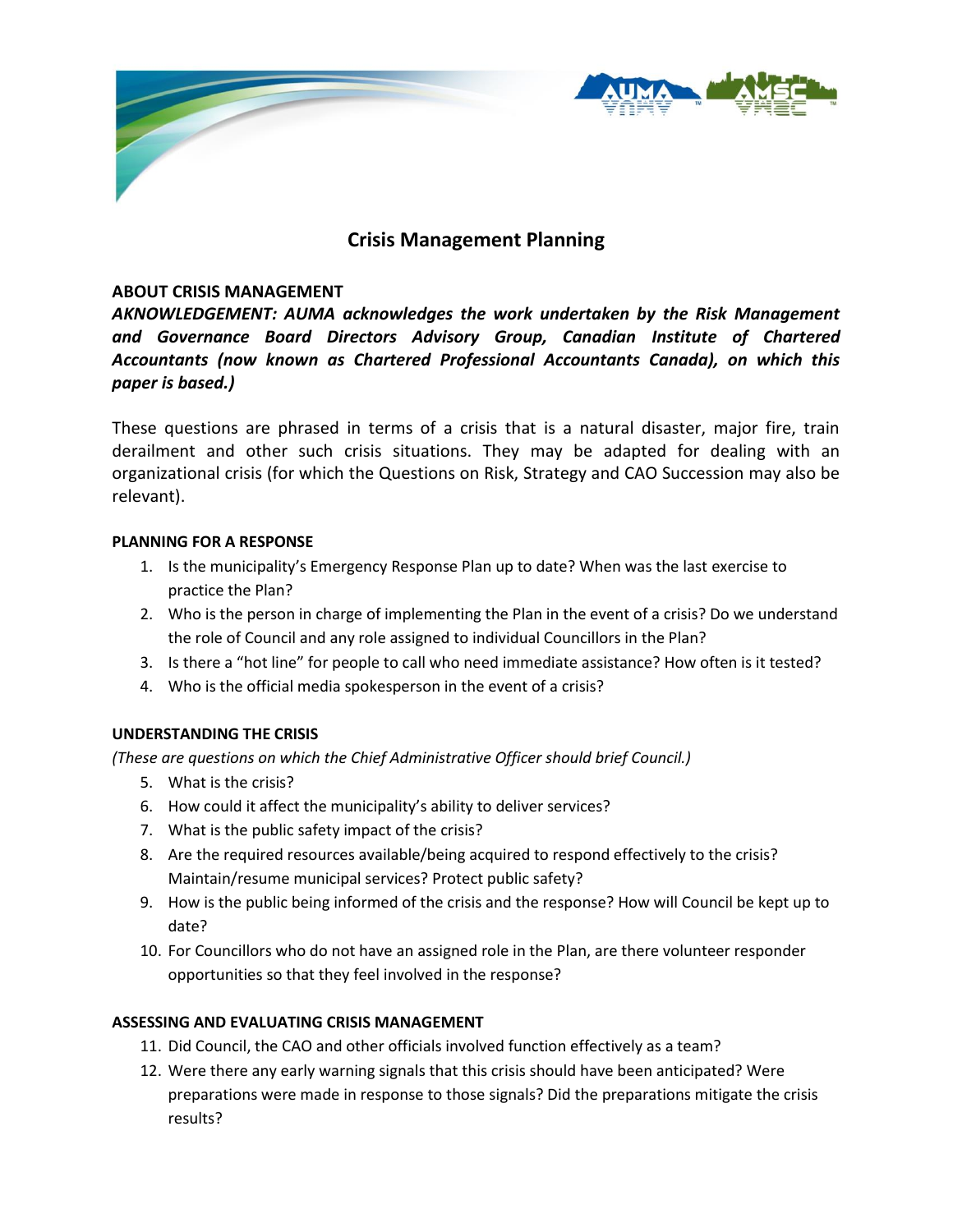

# **Crisis Management Planning**

### **ABOUT CRISIS MANAGEMENT**

*AKNOWLEDGEMENT: AUMA acknowledges the work undertaken by the Risk Management and Governance Board Directors Advisory Group, Canadian Institute of Chartered Accountants (now known as Chartered Professional Accountants Canada), on which this paper is based.)*

These questions are phrased in terms of a crisis that is a natural disaster, major fire, train derailment and other such crisis situations. They may be adapted for dealing with an organizational crisis (for which the Questions on Risk, Strategy and CAO Succession may also be relevant).

#### **PLANNING FOR A RESPONSE**

- 1. Is the municipality's Emergency Response Plan up to date? When was the last exercise to practice the Plan?
- 2. Who is the person in charge of implementing the Plan in the event of a crisis? Do we understand the role of Council and any role assigned to individual Councillors in the Plan?
- 3. Is there a "hot line" for people to call who need immediate assistance? How often is it tested?
- 4. Who is the official media spokesperson in the event of a crisis?

## **UNDERSTANDING THE CRISIS**

*(These are questions on which the Chief Administrative Officer should brief Council.)*

- 5. What is the crisis?
- 6. How could it affect the municipality's ability to deliver services?
- 7. What is the public safety impact of the crisis?
- 8. Are the required resources available/being acquired to respond effectively to the crisis? Maintain/resume municipal services? Protect public safety?
- 9. How is the public being informed of the crisis and the response? How will Council be kept up to date?
- 10. For Councillors who do not have an assigned role in the Plan, are there volunteer responder opportunities so that they feel involved in the response?

## **ASSESSING AND EVALUATING CRISIS MANAGEMENT**

- 11. Did Council, the CAO and other officials involved function effectively as a team?
- 12. Were there any early warning signals that this crisis should have been anticipated? Were preparations were made in response to those signals? Did the preparations mitigate the crisis results?